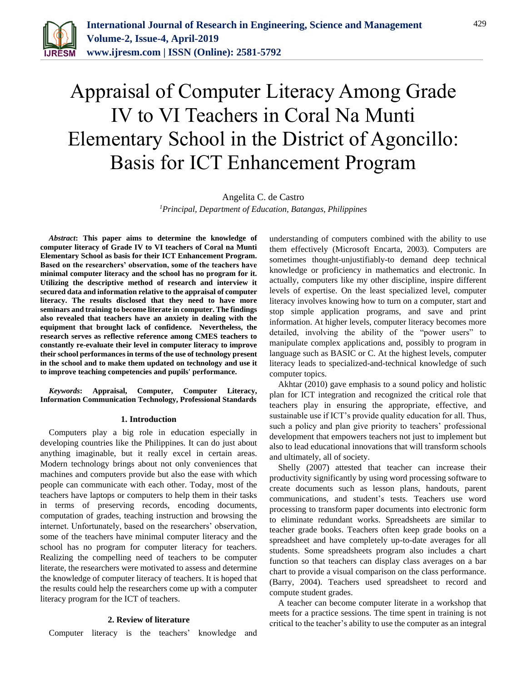

# Appraisal of Computer Literacy Among Grade IV to VI Teachers in Coral Na Munti Elementary School in the District of Agoncillo: Basis for ICT Enhancement Program

Angelita C. de Castro *1Principal, Department of Education, Batangas, Philippines*

*Abstract***: This paper aims to determine the knowledge of computer literacy of Grade IV to VI teachers of Coral na Munti Elementary School as basis for their ICT Enhancement Program. Based on the researchers' observation, some of the teachers have minimal computer literacy and the school has no program for it. Utilizing the descriptive method of research and interview it secured data and information relative to the appraisal of computer literacy. The results disclosed that they need to have more seminars and training to become literate in computer. The findings also revealed that teachers have an anxiety in dealing with the equipment that brought lack of confidence. Nevertheless, the research serves as reflective reference among CMES teachers to constantly re-evaluate their level in computer literacy to improve their school performances in terms of the use of technology present in the school and to make them updated on technology and use it to improve teaching competencies and pupils' performance.**

*Keywords***: Appraisal, Computer, Computer Literacy, Information Communication Technology, Professional Standards** 

## **1. Introduction**

Computers play a big role in education especially in developing countries like the Philippines. It can do just about anything imaginable, but it really excel in certain areas. Modern technology brings about not only conveniences that machines and computers provide but also the ease with which people can communicate with each other. Today, most of the teachers have laptops or computers to help them in their tasks in terms of preserving records, encoding documents, computation of grades, teaching instruction and browsing the internet. Unfortunately, based on the researchers' observation, some of the teachers have minimal computer literacy and the school has no program for computer literacy for teachers. Realizing the compelling need of teachers to be computer literate, the researchers were motivated to assess and determine the knowledge of computer literacy of teachers. It is hoped that the results could help the researchers come up with a computer literacy program for the ICT of teachers.

## **2. Review of literature**

Computer literacy is the teachers' knowledge and

understanding of computers combined with the ability to use them effectively (Microsoft Encarta, 2003). Computers are sometimes thought-unjustifiably-to demand deep technical knowledge or proficiency in mathematics and electronic. In actually, computers like my other discipline, inspire different levels of expertise. On the least specialized level, computer literacy involves knowing how to turn on a computer, start and stop simple application programs, and save and print information. At higher levels, computer literacy becomes more detailed, involving the ability of the "power users" to manipulate complex applications and, possibly to program in language such as BASIC or C. At the highest levels, computer literacy leads to specialized-and-technical knowledge of such computer topics.

Akhtar (2010) gave emphasis to a sound policy and holistic plan for ICT integration and recognized the critical role that teachers play in ensuring the appropriate, effective, and sustainable use if ICT's provide quality education for all. Thus, such a policy and plan give priority to teachers' professional development that empowers teachers not just to implement but also to lead educational innovations that will transform schools and ultimately, all of society.

Shelly (2007) attested that teacher can increase their productivity significantly by using word processing software to create documents such as lesson plans, handouts, parent communications, and student's tests. Teachers use word processing to transform paper documents into electronic form to eliminate redundant works. Spreadsheets are similar to teacher grade books. Teachers often keep grade books on a spreadsheet and have completely up-to-date averages for all students. Some spreadsheets program also includes a chart function so that teachers can display class averages on a bar chart to provide a visual comparison on the class performance. (Barry, 2004). Teachers used spreadsheet to record and compute student grades.

A teacher can become computer literate in a workshop that meets for a practice sessions. The time spent in training is not critical to the teacher's ability to use the computer as an integral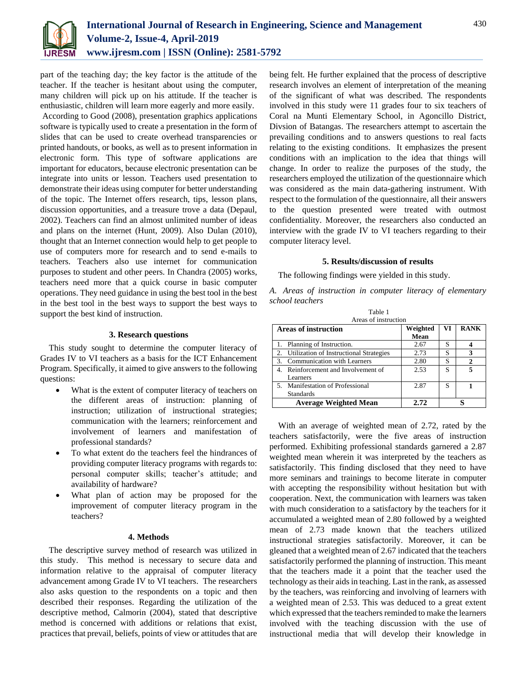

part of the teaching day; the key factor is the attitude of the teacher. If the teacher is hesitant about using the computer, many children will pick up on his attitude. If the teacher is enthusiastic, children will learn more eagerly and more easily.

According to Good (2008), presentation graphics applications software is typically used to create a presentation in the form of slides that can be used to create overhead transparencies or printed handouts, or books, as well as to present information in electronic form. This type of software applications are important for educators, because electronic presentation can be integrate into units or lesson. Teachers used presentation to demonstrate their ideas using computer for better understanding of the topic. The Internet offers research, tips, lesson plans, discussion opportunities, and a treasure trove a data (Depaul, 2002). Teachers can find an almost unlimited number of ideas and plans on the internet (Hunt, 2009). Also Dulan (2010), thought that an Internet connection would help to get people to use of computers more for research and to send e-mails to teachers. Teachers also use internet for communication purposes to student and other peers. In Chandra (2005) works, teachers need more that a quick course in basic computer operations. They need guidance in using the best tool in the best in the best tool in the best ways to support the best ways to support the best kind of instruction.

## **3. Research questions**

This study sought to determine the computer literacy of Grades IV to VI teachers as a basis for the ICT Enhancement Program. Specifically, it aimed to give answers to the following questions:

- What is the extent of computer literacy of teachers on the different areas of instruction: planning of instruction; utilization of instructional strategies; communication with the learners; reinforcement and involvement of learners and manifestation of professional standards?
- To what extent do the teachers feel the hindrances of providing computer literacy programs with regards to: personal computer skills; teacher's attitude; and availability of hardware?
- What plan of action may be proposed for the improvement of computer literacy program in the teachers?

## **4. Methods**

The descriptive survey method of research was utilized in this study. This method is necessary to secure data and information relative to the appraisal of computer literacy advancement among Grade IV to VI teachers. The researchers also asks question to the respondents on a topic and then described their responses. Regarding the utilization of the descriptive method, Calmorin (2004), stated that descriptive method is concerned with additions or relations that exist, practices that prevail, beliefs, points of view or attitudes that are being felt. He further explained that the process of descriptive research involves an element of interpretation of the meaning of the significant of what was described. The respondents involved in this study were 11 grades four to six teachers of Coral na Munti Elementary School, in Agoncillo District, Divsion of Batangas. The researchers attempt to ascertain the prevailing conditions and to answers questions to real facts relating to the existing conditions. It emphasizes the present conditions with an implication to the idea that things will change. In order to realize the purposes of the study, the researchers employed the utilization of the questionnaire which was considered as the main data-gathering instrument. With respect to the formulation of the questionnaire, all their answers to the question presented were treated with outmost confidentiality. Moreover, the researchers also conducted an interview with the grade IV to VI teachers regarding to their computer literacy level.

## **5. Results/discussion of results**

The following findings were yielded in this study.

*A. Areas of instruction in computer literacy of elementary school teachers* Table 1

| Areas of instruction                       |                  |    |             |  |  |  |
|--------------------------------------------|------------------|----|-------------|--|--|--|
| <b>Areas of instruction</b>                | Weighted<br>Mean | VI | <b>RANK</b> |  |  |  |
| 1. Planning of Instruction.                | 2.67             | S  |             |  |  |  |
| 2. Utilization of Instructional Strategies | 2.73             | S  |             |  |  |  |
| 3. Communication with Learners             | 2.80             | S  |             |  |  |  |
| 4. Reinforcement and Involvement of        | 2.53             | S  |             |  |  |  |
| <b>Learners</b>                            |                  |    |             |  |  |  |
| 5. Manifestation of Professional           | 2.87             | S  |             |  |  |  |
| <b>Standards</b>                           |                  |    |             |  |  |  |
| <b>Average Weighted Mean</b>               | 2.72             |    |             |  |  |  |

With an average of weighted mean of 2.72, rated by the teachers satisfactorily, were the five areas of instruction performed. Exhibiting professional standards garnered a 2.87 weighted mean wherein it was interpreted by the teachers as satisfactorily. This finding disclosed that they need to have more seminars and trainings to become literate in computer with accepting the responsibility without hesitation but with cooperation. Next, the communication with learners was taken with much consideration to a satisfactory by the teachers for it accumulated a weighted mean of 2.80 followed by a weighted mean of 2.73 made known that the teachers utilized instructional strategies satisfactorily. Moreover, it can be gleaned that a weighted mean of 2.67 indicated that the teachers satisfactorily performed the planning of instruction. This meant that the teachers made it a point that the teacher used the technology as their aids in teaching. Last in the rank, as assessed by the teachers, was reinforcing and involving of learners with a weighted mean of 2.53. This was deduced to a great extent which expressed that the teachers reminded to make the learners involved with the teaching discussion with the use of instructional media that will develop their knowledge in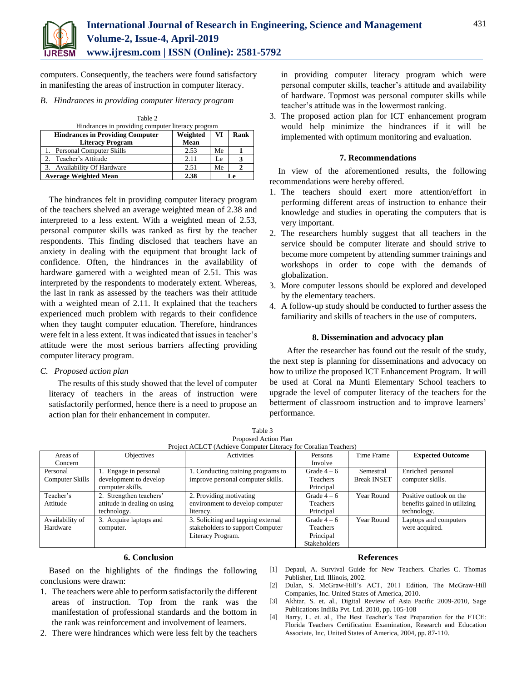

computers. Consequently, the teachers were found satisfactory in manifesting the areas of instruction in computer literacy.

## *B. Hindrances in providing computer literacy program*

| Table 2                                           |          |    |      |  |  |  |  |
|---------------------------------------------------|----------|----|------|--|--|--|--|
| Hindrances in providing computer literacy program |          |    |      |  |  |  |  |
| <b>Hindrances in Providing Computer</b>           | Weighted | VI | Rank |  |  |  |  |
| <b>Literacy Program</b>                           | Mean     |    |      |  |  |  |  |
| <b>Personal Computer Skills</b>                   | 2.53     | Me |      |  |  |  |  |
| Teacher's Attitude                                | 2.11     | Le | 3    |  |  |  |  |
| Availability Of Hardware                          | 2.51     | Me |      |  |  |  |  |
| <b>Average Weighted Mean</b>                      | 2.38     |    | Le.  |  |  |  |  |

The hindrances felt in providing computer literacy program of the teachers shelved an average weighted mean of 2.38 and interpreted to a less extent. With a weighted mean of 2.53, personal computer skills was ranked as first by the teacher respondents. This finding disclosed that teachers have an anxiety in dealing with the equipment that brought lack of confidence. Often, the hindrances in the availability of hardware garnered with a weighted mean of 2.51. This was interpreted by the respondents to moderately extent. Whereas, the last in rank as assessed by the teachers was their attitude with a weighted mean of 2.11. It explained that the teachers experienced much problem with regards to their confidence when they taught computer education. Therefore, hindrances were felt in a less extent. It was indicated that issues in teacher's attitude were the most serious barriers affecting providing computer literacy program.

*C. Proposed action plan*

The results of this study showed that the level of computer literacy of teachers in the areas of instruction were satisfactorily performed, hence there is a need to propose an action plan for their enhancement in computer.

in providing computer literacy program which were personal computer skills, teacher's attitude and availability of hardware. Topmost was personal computer skills while teacher's attitude was in the lowermost ranking.

3. The proposed action plan for ICT enhancement program would help minimize the hindrances if it will be implemented with optimum monitoring and evaluation.

## **7. Recommendations**

In view of the aforementioned results, the following recommendations were hereby offered.

- 1. The teachers should exert more attention/effort in performing different areas of instruction to enhance their knowledge and studies in operating the computers that is very important.
- 2. The researchers humbly suggest that all teachers in the service should be computer literate and should strive to become more competent by attending summer trainings and workshops in order to cope with the demands of globalization.
- 3. More computer lessons should be explored and developed by the elementary teachers.
- 4. A follow-up study should be conducted to further assess the familiarity and skills of teachers in the use of computers.

## **8. Dissemination and advocacy plan**

After the researcher has found out the result of the study, the next step is planning for disseminations and advocacy on how to utilize the proposed ICT Enhancement Program. It will be used at Coral na Munti Elementary School teachers to upgrade the level of computer literacy of the teachers for the betterment of classroom instruction and to improve learners' performance.

| Table 3                                                         |  |
|-----------------------------------------------------------------|--|
| Proposed Action Plan                                            |  |
| Project ACLCT (Achieve Computer Literacy for Coralian Teachers) |  |

| Areas of        | Objectives                   | <b>Activities</b>                  | Persons             | Time Frame         | <b>Expected Outcome</b>      |
|-----------------|------------------------------|------------------------------------|---------------------|--------------------|------------------------------|
| Concern         |                              |                                    | Involve             |                    |                              |
| Personal        | Engage in personal           | 1. Conducting training programs to | Grade $4-6$         | Semestral          | Enriched personal            |
| Computer Skills | development to develop       | improve personal computer skills.  | Teachers            | <b>Break INSET</b> | computer skills.             |
|                 | computer skills.             |                                    | Principal           |                    |                              |
| Teacher's       | 2. Strengthen teachers'      | 2. Providing motivating            | Grade $4-6$         | Year Round         | Positive outlook on the      |
| Attitude        | attitude in dealing on using | environment to develop computer    | Teachers            |                    | benefits gained in utilizing |
|                 | technology.                  | literacy.                          | Principal           |                    | technology.                  |
| Availability of | 3. Acquire laptops and       | 3. Soliciting and tapping external | Grade $4-6$         | Year Round         | Laptops and computers        |
| Hardware        | computer.                    | stakeholders to support Computer   | Teachers            |                    | were acquired.               |
|                 |                              | Literacy Program.                  | Principal           |                    |                              |
|                 |                              |                                    | <b>Stakeholders</b> |                    |                              |

## **6. Conclusion**

Based on the highlights of the findings the following conclusions were drawn:

- 1. The teachers were able to perform satisfactorily the different areas of instruction. Top from the rank was the manifestation of professional standards and the bottom in the rank was reinforcement and involvement of learners.
- 2. There were hindrances which were less felt by the teachers

#### **References**

- [1] Depaul, A. Survival Guide for New Teachers. Charles C. Thomas Publisher, Ltd. Illinois, 2002.
- [2] Dulan, S. McGraw-Hill's ACT, 2011 Edition, The McGraw-Hill Companies, Inc. United States of America, 2010.
- [3] Akhtar, S. et. al., Digital Review of Asia Pacific 2009-2010, Sage Publications Indi8a Pvt. Ltd. 2010, pp. 105-108
- [4] Barry, L. et. al., The Best Teacher's Test Preparation for the FTCE: Florida Teachers Certification Examination, Research and Education Associate, Inc, United States of America, 2004, pp. 87-110.